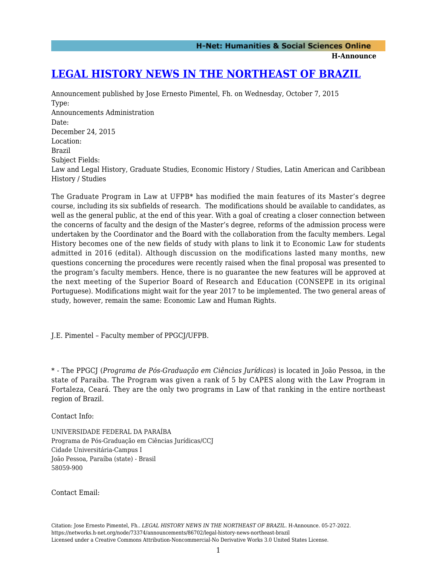**H-Announce** 

## **[LEGAL HISTORY NEWS IN THE NORTHEAST OF BRAZIL](https://networks.h-net.org/node/73374/announcements/86702/legal-history-news-northeast-brazil)**

Announcement published by Jose Ernesto Pimentel, Fh. on Wednesday, October 7, 2015 Type: Announcements Administration Date: December 24, 2015 Location: Brazil Subject Fields: Law and Legal History, Graduate Studies, Economic History / Studies, Latin American and Caribbean History / Studies

The Graduate Program in Law at UFPB\* has modified the main features of its Master's degree course, including its six subfields of research. The modifications should be available to candidates, as well as the general public, at the end of this year. With a goal of creating a closer connection between the concerns of faculty and the design of the Master's degree, reforms of the admission process were undertaken by the Coordinator and the Board with the collaboration from the faculty members. Legal History becomes one of the new fields of study with plans to link it to Economic Law for students admitted in 2016 (edital). Although discussion on the modifications lasted many months, new questions concerning the procedures were recently raised when the final proposal was presented to the program's faculty members. Hence, there is no guarantee the new features will be approved at the next meeting of the Superior Board of Research and Education (CONSEPE in its original Portuguese). Modifications might wait for the year 2017 to be implemented. The two general areas of study, however, remain the same: Economic Law and Human Rights.

J.E. Pimentel – Faculty member of PPGCJ/UFPB.

\* - The PPGCJ (*Programa de Pós-Graduação em Ciências Jurídicas*) is located in João Pessoa, in the state of Paraiba. The Program was given a rank of 5 by CAPES along with the Law Program in Fortaleza, Ceará. They are the only two programs in Law of that ranking in the entire northeast region of Brazil.

Contact Info:

UNIVERSIDADE FEDERAL DA PARAÍBA Programa de Pós-Graduação em Ciências Jurídicas/CCJ Cidade Universitária-Campus I João Pessoa, Paraíba (state) - Brasil 58059-900

Contact Email:

Citation: Jose Ernesto Pimentel, Fh.. *LEGAL HISTORY NEWS IN THE NORTHEAST OF BRAZIL*. H-Announce. 05-27-2022. https://networks.h-net.org/node/73374/announcements/86702/legal-history-news-northeast-brazil Licensed under a Creative Commons Attribution-Noncommercial-No Derivative Works 3.0 United States License.